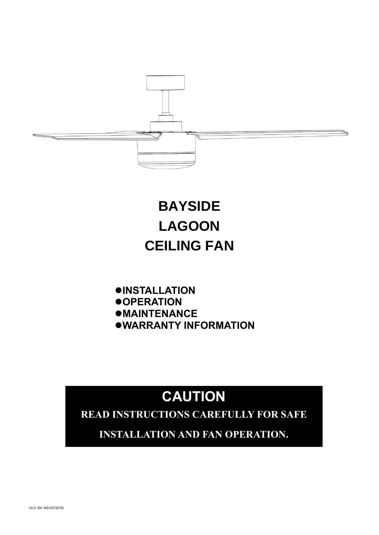

# **BAYSIDE LAGOON CEILING FAN**

- ⚫**INSTALLATION**
- ⚫**OPERATION**
- ⚫**MAINTENANCE**
- ⚫**WARRANTY INFORMATION**

# **CAUTION**

**READ INSTRUCTIONS CAREFULLY FOR SAFE** 

**INSTALLATION AND FAN OPERATION.**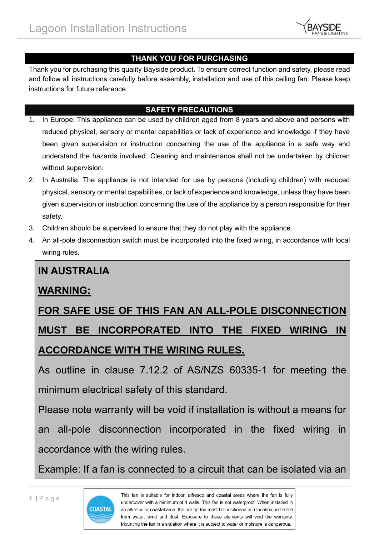

#### **THANK YOU FOR PURCHASING**

Thank you for purchasing this quality Bayside product. To ensure correct function and safety, please read and follow all instructions carefully before assembly, installation and use of this ceiling fan. Please keep instructions for future reference.

#### **SAFETY PRECAUTIONS**

- 1. In Europe: This appliance can be used by children aged from 8 years and above and persons with reduced physical, sensory or mental capabilities or lack of experience and knowledge if they have been given supervision or instruction concerning the use of the appliance in a safe way and understand the hazards involved. Cleaning and maintenance shall not be undertaken by children without supervision.
- 2. In Australia: The appliance is not intended for use by persons (including children) with reduced physical, sensory or mental capabilities, or lack of experience and knowledge, unless they have been given supervision or instruction concerning the use of the appliance by a person responsible for their safety.
- 3. Children should be supervised to ensure that they do not play with the appliance.
- 4. An all-pole disconnection switch must be incorporated into the fixed wiring, in accordance with local wiring rules.

### **IN AUSTRALIA**

### **WARNING:**

# **FOR SAFE USE OF THIS FAN AN ALL-POLE DISCONNECTION MUST BE INCORPORATED INTO THE FIXED WIRING IN ACCORDANCE WITH THE WIRING RULES.**

As outline in clause 7.12.2 of AS/NZS 60335-1 for meeting the minimum electrical safety of this standard.

Please note warranty will be void if installation is without a means for an all-pole disconnection incorporated in the fixed wiring in accordance with the wiring rules.

Example: If a fan is connected to a circuit that can be isolated via an

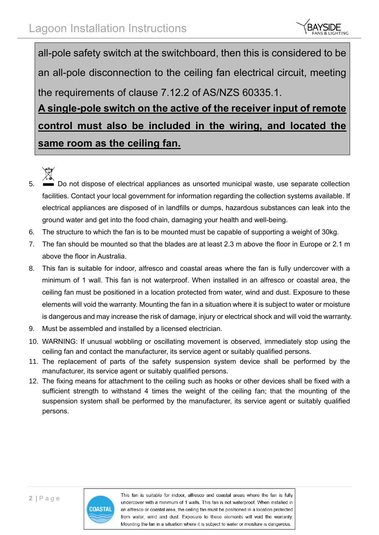

all-pole safety switch at the switchboard, then this is considered to be an all-pole disconnection to the ceiling fan electrical circuit, meeting the requirements of clause 7.12.2 of AS/NZS 60335.1. **A single-pole switch on the active of the receiver input of remote control must also be included in the wiring, and located the** 

**same room as the ceiling fan.**

- 
- 5. **Do not dispose of electrical appliances as unsorted municipal waste, use separate collection** facilities. Contact your local government for information regarding the collection systems available. If electrical appliances are disposed of in landfills or dumps, hazardous substances can leak into the ground water and get into the food chain, damaging your health and well-being.
- 6. The structure to which the fan is to be mounted must be capable of supporting a weight of 30kg.
- 7. The fan should be mounted so that the blades are at least 2.3 m above the floor in Europe or 2.1 m above the floor in Australia.
- 8. This fan is suitable for indoor, alfresco and coastal areas where the fan is fully undercover with a minimum of 1 wall. This fan is not waterproof. When installed in an alfresco or coastal area, the ceiling fan must be positioned in a location protected from water, wind and dust. Exposure to these elements will void the warranty. Mounting the fan in a situation where it is subject to water or moisture is dangerous and may increase the risk of damage, injury or electrical shock and will void the warranty.
- 9. Must be assembled and installed by a licensed electrician.
- 10. WARNING: If unusual wobbling or oscillating movement is observed, immediately stop using the ceiling fan and contact the manufacturer, its service agent or suitably qualified persons.
- 11. The replacement of parts of the safety suspension system device shall be performed by the manufacturer, its service agent or suitably qualified persons.
- 12. The fixing means for attachment to the ceiling such as hooks or other devices shall be fixed with a sufficient strength to withstand 4 times the weight of the ceiling fan; that the mounting of the suspension system shall be performed by the manufacturer, its service agent or suitably qualified persons.

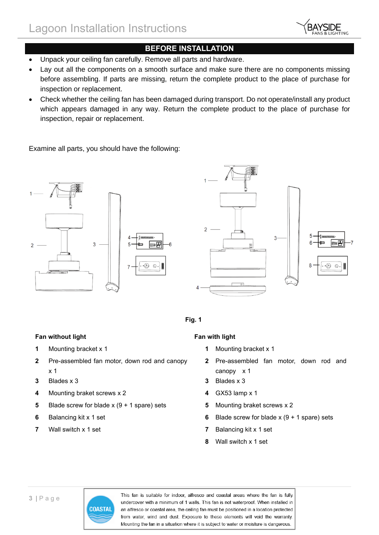

#### **BEFORE INSTALLATION**

- Unpack your ceiling fan carefully. Remove all parts and hardware.
- Lay out all the components on a smooth surface and make sure there are no components missing before assembling. If parts are missing, return the complete product to the place of purchase for inspection or replacement.
- Check whether the ceiling fan has been damaged during transport. Do not operate/install any product which appears damaged in any way. Return the complete product to the place of purchase for inspection, repair or replacement.

Examine all parts, you should have the following:







#### **Fan without light Fan with light**

- **1** Mounting bracket x 1 **1** Mounting bracket x 1
- **2** Pre-assembled fan motor, down rod and canopy x 1
- **3** Blades x 3 **3** Blades x 3
- **4** Mounting braket screws x 2 **4** GX53 lamp x 1
- **5** Blade screw for blade x (9 + 1 spare) sets **5** Mounting braket screws x 2
- 
- 

- 
- **2** Pre-assembled fan motor, down rod and canopy x 1
- 
- 
- 
- **6** Balancing kit x 1 set **6** Blade screw for blade x (9 + 1 spare) sets
- **7** Wall switch x 1 set **7** Balancing kit x 1 set
	- **8** Wall switch x 1 set

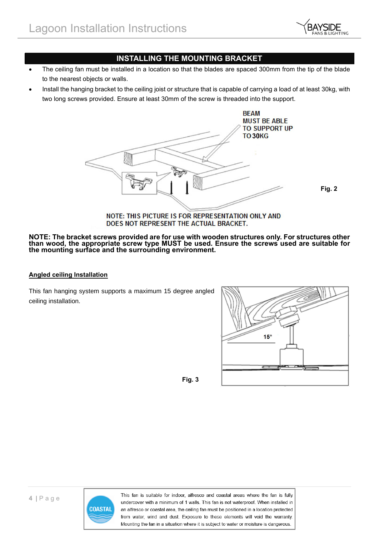

#### **INSTALLING THE MOUNTING BRACKET**

- The ceiling fan must be installed in a location so that the blades are spaced 300mm from the tip of the blade to the nearest objects or walls.
- Install the hanging bracket to the ceiling joist or structure that is capable of carrying a load of at least 30kg, with two long screws provided. Ensure at least 30mm of the screw is threaded into the support.



**Fig. 2**

#### NOTE: THIS PICTURE IS FOR REPRESENTATION ONLY AND DOES NOT REPRESENT THE ACTUAL BRACKET.

#### **NOTE: The bracket screws provided are for use with wooden structures only. For structures other than wood, the appropriate screw type MUST be used. Ensure the screws used are suitable for the mounting surface and the surrounding environment.**

#### **Angled ceiling Installation**

This fan hanging system supports a maximum 15 degree angled ceiling installation.



**Fig. 3**



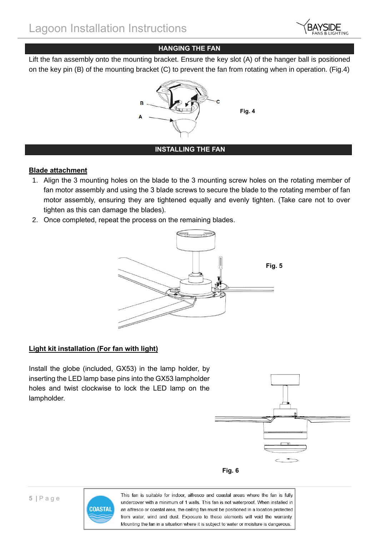

#### **HANGING THE FAN**

Lift the fan assembly onto the mounting bracket. Ensure the key slot (A) of the hanger ball is positioned on the key pin (B) of the mounting bracket (C) to prevent the fan from rotating when in operation. (Fig.4)



#### **INSTALLING THE FAN**

#### **Blade attachment**

- 1. Align the 3 mounting holes on the blade to the 3 mounting screw holes on the rotating member of fan motor assembly and using the 3 blade screws to secure the blade to the rotating member of fan motor assembly, ensuring they are tightened equally and evenly tighten. (Take care not to over tighten as this can damage the blades).
- 2. Once completed, repeat the process on the remaining blades.



#### **Light kit installation (For fan with light)**

Install the globe (included, GX53) in the lamp holder, by inserting the LED lamp base pins into the GX53 lampholder holes and twist clockwise to lock the LED lamp on the lampholder.





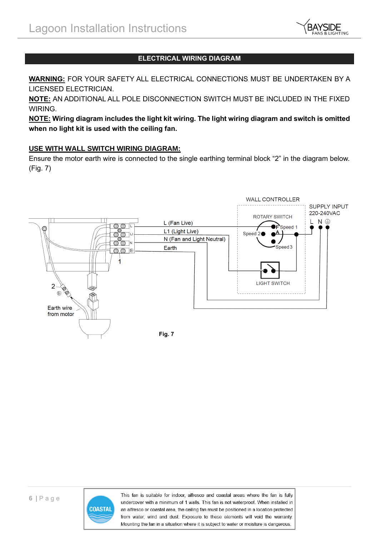

#### **ELECTRICAL WIRING DIAGRAM**

**WARNING:** FOR YOUR SAFETY ALL ELECTRICAL CONNECTIONS MUST BE UNDERTAKEN BY A LICENSED ELECTRICIAN.

**NOTE:** AN ADDITIONAL ALL POLE DISCONNECTION SWITCH MUST BE INCLUDED IN THE FIXED WIRING.

**NOTE: Wiring diagram includes the light kit wiring. The light wiring diagram and switch is omitted when no light kit is used with the ceiling fan.** 

#### **USE WITH WALL SWITCH WIRING DIAGRAM:**

Ensure the motor earth wire is connected to the single earthing terminal block "2" in the diagram below. (Fig. 7)



**Fig. 7**



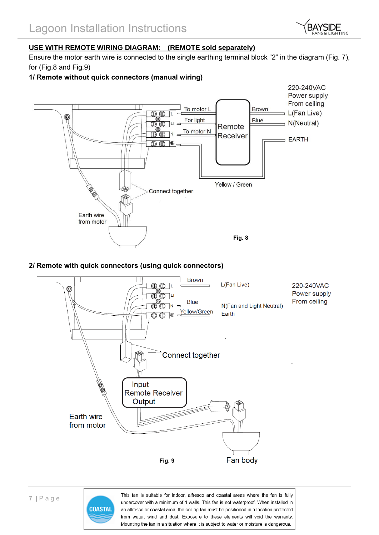

#### **USE WITH REMOTE WIRING DIAGRAM: (REMOTE sold separately)**

Ensure the motor earth wire is connected to the single earthing terminal block "2" in the diagram (Fig. 7), for (Fig.8 and Fig.9)

#### **1/ Remote without quick connectors (manual wiring)**



#### **2/ Remote with quick connectors (using quick connectors)**



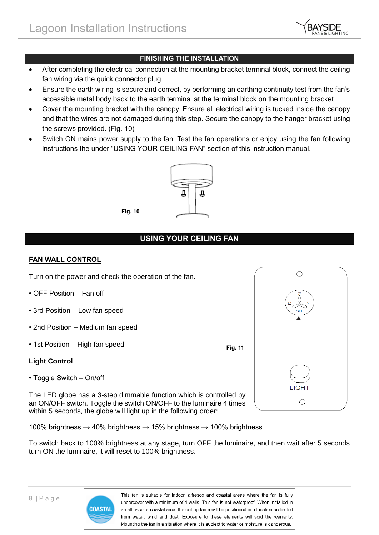

#### **FINISHING THE INSTALLATION**

- After completing the electrical connection at the mounting bracket terminal block, connect the ceiling fan wiring via the quick connector plug.
- Ensure the earth wiring is secure and correct, by performing an earthing continuity test from the fan's accessible metal body back to the earth terminal at the terminal block on the mounting bracket.
- Cover the mounting bracket with the canopy. Ensure all electrical wiring is tucked inside the canopy and that the wires are not damaged during this step. Secure the canopy to the hanger bracket using the screws provided. (Fig. 10)
- Switch ON mains power supply to the fan. Test the fan operations or enjoy using the fan following instructions the under "USING YOUR CEILING FAN" section of this instruction manual.



**Fig. 10**

#### **USING YOUR CEILING FAN**

#### **FAN WALL CONTROL**

Turn on the power and check the operation of the fan.

- OFF Position Fan off
- 3rd Position Low fan speed
- 2nd Position Medium fan speed
- 1st Position High fan speed

#### **Light Control**

• Toggle Switch – On/off

The LED globe has a 3-step dimmable function which is controlled by an ON/OFF switch. Toggle the switch ON/OFF to the luminaire 4 times within 5 seconds, the globe will light up in the following order:

100% brightness  $\rightarrow$  40% brightness  $\rightarrow$  15% brightness  $\rightarrow$  100% brightness.

To switch back to 100% brightness at any stage, turn OFF the luminaire, and then wait after 5 seconds turn ON the luminaire, it will reset to 100% brightness.



This fan is suitable for indoor, alfresco and coastal areas where the fan is fully undercover with a minimum of 1 walls. This fan is not waterproof. When installed in an alfresco or coastal area, the ceiling fan must be positioned in a location protected from water, wind and dust. Exposure to these elements will void the warranty. Mounting the fan in a situation where it is subject to water or moisture is dangerous.

**Fig. 11**

| Τ                                                        |  |
|----------------------------------------------------------|--|
| $\overline{\mathcal{C}}$<br>$\omega$<br>$\overline{OFF}$ |  |
|                                                          |  |
| <b>LIGHT</b>                                             |  |
|                                                          |  |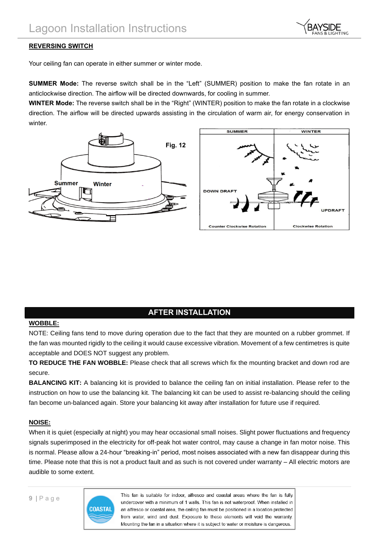

#### **REVERSING SWITCH**

Your ceiling fan can operate in either summer or winter mode.

**SUMMER Mode:** The reverse switch shall be in the "Left" (SUMMER) position to make the fan rotate in an anticlockwise direction. The airflow will be directed downwards, for cooling in summer.

**WINTER Mode:** The reverse switch shall be in the "Right" (WINTER) position to make the fan rotate in a clockwise direction. The airflow will be directed upwards assisting in the circulation of warm air, for energy conservation in winter.





#### **AFTER INSTALLATION**

#### **WOBBLE:**

NOTE: Ceiling fans tend to move during operation due to the fact that they are mounted on a rubber grommet. If the fan was mounted rigidly to the ceiling it would cause excessive vibration. Movement of a few centimetres is quite acceptable and DOES NOT suggest any problem.

**TO REDUCE THE FAN WOBBLE:** Please check that all screws which fix the mounting bracket and down rod are secure.

**BALANCING KIT:** A balancing kit is provided to balance the ceiling fan on initial installation. Please refer to the instruction on how to use the balancing kit. The balancing kit can be used to assist re-balancing should the ceiling fan become un-balanced again. Store your balancing kit away after installation for future use if required.

#### **NOISE:**

When it is quiet (especially at night) you may hear occasional small noises. Slight power fluctuations and frequency signals superimposed in the electricity for off-peak hot water control, may cause a change in fan motor noise. This is normal. Please allow a 24-hour "breaking-in" period, most noises associated with a new fan disappear during this time. Please note that this is not a product fault and as such is not covered under warranty – All electric motors are audible to some extent.

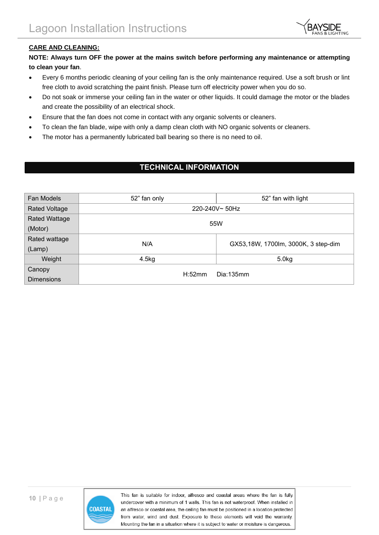

#### **CARE AND CLEANING:**

#### **NOTE: Always turn OFF the power at the mains switch before performing any maintenance or attempting to clean your fan**.

- Every 6 months periodic cleaning of your ceiling fan is the only maintenance required. Use a soft brush or lint free cloth to avoid scratching the paint finish. Please turn off electricity power when you do so.
- Do not soak or immerse your ceiling fan in the water or other liquids. It could damage the motor or the blades and create the possibility of an electrical shock.
- Ensure that the fan does not come in contact with any organic solvents or cleaners.
- To clean the fan blade, wipe with only a damp clean cloth with NO organic solvents or cleaners.
- The motor has a permanently lubricated ball bearing so there is no need to oil.

#### **TECHNICAL INFORMATION**

| Fan Models           | 52" fan only  | 52" fan with light                  |  |
|----------------------|---------------|-------------------------------------|--|
| <b>Rated Voltage</b> | 220-240V~50Hz |                                     |  |
| <b>Rated Wattage</b> | 55W           |                                     |  |
| (Motor)              |               |                                     |  |
| Rated wattage        | N/A           | GX53,18W, 1700lm, 3000K, 3 step-dim |  |
| (Lamp)               |               |                                     |  |
| Weight               | 4.5kg         | 5.0 <sub>kg</sub>                   |  |
| Canopy               | H:52mm        | Dia:135mm                           |  |
| <b>Dimensions</b>    |               |                                     |  |

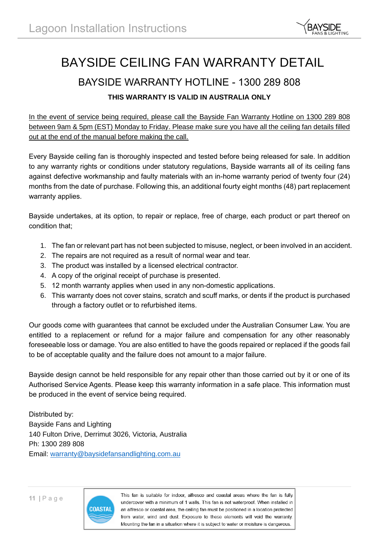

## BAYSIDE CEILING FAN WARRANTY DETAIL

## BAYSIDE WARRANTY HOTLINE - 1300 289 808

#### **THIS WARRANTY IS VALID IN AUSTRALIA ONLY**

In the event of service being required, please call the Bayside Fan Warranty Hotline on 1300 289 808 between 9am & 5pm (EST) Monday to Friday. Please make sure you have all the ceiling fan details filled out at the end of the manual before making the call.

Every Bayside ceiling fan is thoroughly inspected and tested before being released for sale. In addition to any warranty rights or conditions under statutory regulations, Bayside warrants all of its ceiling fans against defective workmanship and faulty materials with an in-home warranty period of twenty four (24) months from the date of purchase. Following this, an additional fourty eight months (48) part replacement warranty applies.

Bayside undertakes, at its option, to repair or replace, free of charge, each product or part thereof on condition that;

- 1. The fan or relevant part has not been subjected to misuse, neglect, or been involved in an accident.
- 2. The repairs are not required as a result of normal wear and tear.
- 3. The product was installed by a licensed electrical contractor.
- 4. A copy of the original receipt of purchase is presented.
- 5. 12 month warranty applies when used in any non-domestic applications.
- 6. This warranty does not cover stains, scratch and scuff marks, or dents if the product is purchased through a factory outlet or to refurbished items.

Our goods come with guarantees that cannot be excluded under the Australian Consumer Law. You are entitled to a replacement or refund for a major failure and compensation for any other reasonably foreseeable loss or damage. You are also entitled to have the goods repaired or replaced if the goods fail to be of acceptable quality and the failure does not amount to a major failure.

Bayside design cannot be held responsible for any repair other than those carried out by it or one of its Authorised Service Agents. Please keep this warranty information in a safe place. This information must be produced in the event of service being required.

Distributed by: Bayside Fans and Lighting 140 Fulton Drive, Derrimut 3026, Victoria, Australia Ph: 1300 289 808 Email: [warranty@baysidefansandlighting.com.au](mailto:warranty@baysidefansandlighting.com.au)